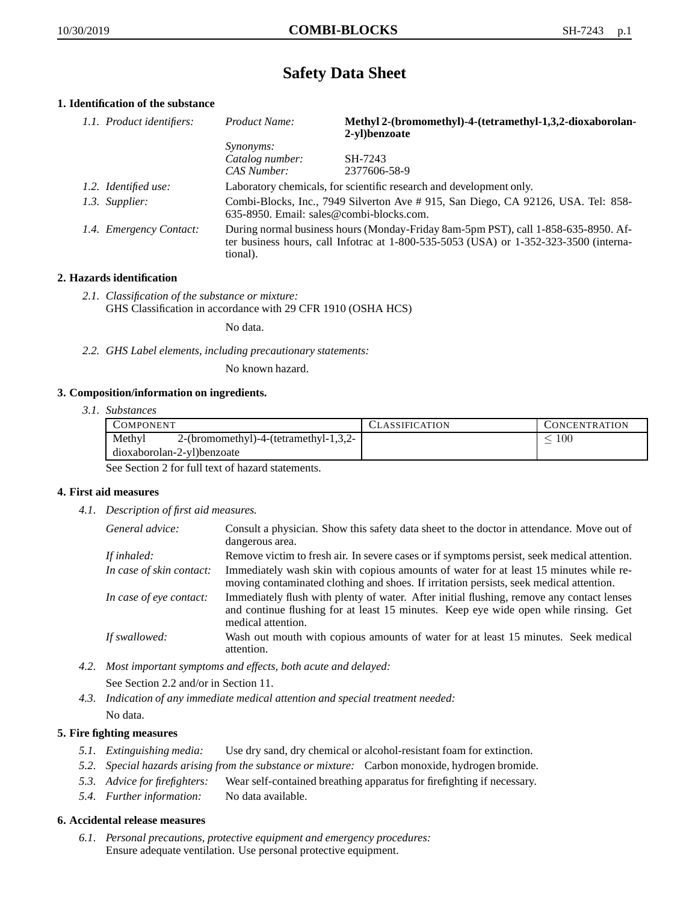# **Safety Data Sheet**

## **1. Identification of the substance**

| 1.1. Product identifiers: | Product Name:                                                                                                                                                                           | Methyl 2-(bromomethyl)-4-(tetramethyl-1,3,2-dioxaborolan-<br>2-vl)benzoate |
|---------------------------|-----------------------------------------------------------------------------------------------------------------------------------------------------------------------------------------|----------------------------------------------------------------------------|
|                           | <i>Synonyms:</i>                                                                                                                                                                        |                                                                            |
|                           | Catalog number:                                                                                                                                                                         | SH-7243                                                                    |
|                           | CAS Number:                                                                                                                                                                             | 2377606-58-9                                                               |
| 1.2. Identified use:      | Laboratory chemicals, for scientific research and development only.                                                                                                                     |                                                                            |
| 1.3. Supplier:            | Combi-Blocks, Inc., 7949 Silverton Ave #915, San Diego, CA 92126, USA. Tel: 858-<br>635-8950. Email: sales@combi-blocks.com.                                                            |                                                                            |
| 1.4. Emergency Contact:   | During normal business hours (Monday-Friday 8am-5pm PST), call 1-858-635-8950. Af-<br>ter business hours, call Infotrac at 1-800-535-5053 (USA) or 1-352-323-3500 (interna-<br>tional). |                                                                            |

## **2. Hazards identification**

*2.1. Classification of the substance or mixture:* GHS Classification in accordance with 29 CFR 1910 (OSHA HCS)

No data.

*2.2. GHS Label elements, including precautionary statements:*

No known hazard.

## **3. Composition/information on ingredients.**

*3.1. Substances*

| COMPONENT                                       | CLASSIFICATION | <b>CONCENTRATION</b> |
|-------------------------------------------------|----------------|----------------------|
| Methyl<br>2-(bromomethyl)-4-(tetramethyl-1,3,2- |                | $100\,$              |
| dioxaborolan-2-yl)benzoate                      |                |                      |

See Section 2 for full text of hazard statements.

## **4. First aid measures**

*4.1. Description of first aid measures.*

| General advice:          | Consult a physician. Show this safety data sheet to the doctor in attendance. Move out of<br>dangerous area.                                                                                            |
|--------------------------|---------------------------------------------------------------------------------------------------------------------------------------------------------------------------------------------------------|
| If inhaled:              | Remove victim to fresh air. In severe cases or if symptoms persist, seek medical attention.                                                                                                             |
| In case of skin contact: | Immediately wash skin with copious amounts of water for at least 15 minutes while re-<br>moving contaminated clothing and shoes. If irritation persists, seek medical attention.                        |
| In case of eye contact:  | Immediately flush with plenty of water. After initial flushing, remove any contact lenses<br>and continue flushing for at least 15 minutes. Keep eye wide open while rinsing. Get<br>medical attention. |
| If swallowed:            | Wash out mouth with copious amounts of water for at least 15 minutes. Seek medical<br>attention.                                                                                                        |

- *4.2. Most important symptoms and effects, both acute and delayed:* See Section 2.2 and/or in Section 11.
- *4.3. Indication of any immediate medical attention and special treatment needed:* No data.

## **5. Fire fighting measures**

- *5.1. Extinguishing media:* Use dry sand, dry chemical or alcohol-resistant foam for extinction.
- *5.2. Special hazards arising from the substance or mixture:* Carbon monoxide, hydrogen bromide.
- *5.3. Advice for firefighters:* Wear self-contained breathing apparatus for firefighting if necessary.
- *5.4. Further information:* No data available.

## **6. Accidental release measures**

*6.1. Personal precautions, protective equipment and emergency procedures:* Ensure adequate ventilation. Use personal protective equipment.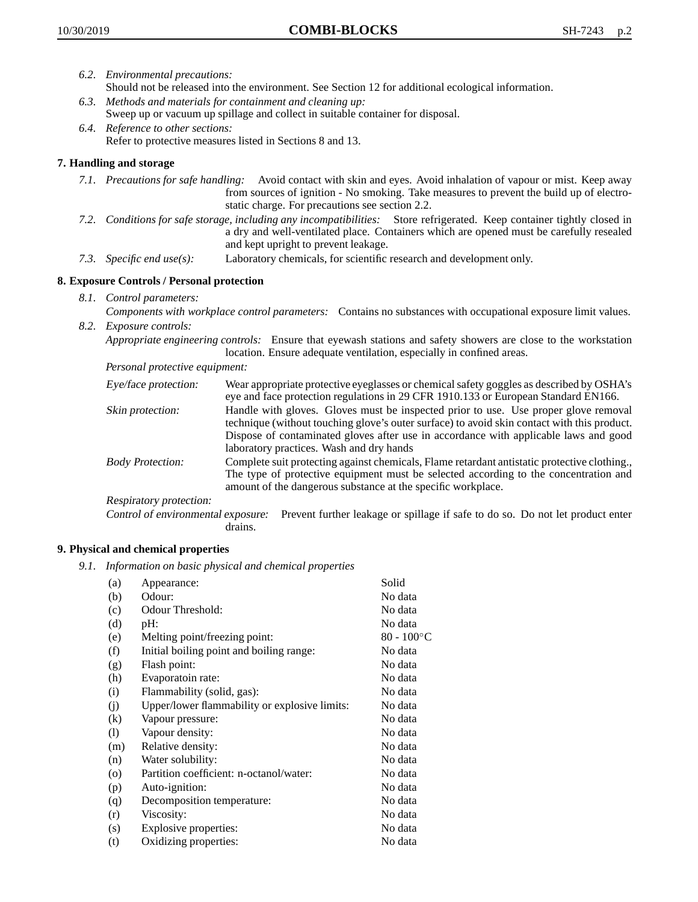- *6.2. Environmental precautions:*
	- Should not be released into the environment. See Section 12 for additional ecological information.
- *6.3. Methods and materials for containment and cleaning up:* Sweep up or vacuum up spillage and collect in suitable container for disposal.
- *6.4. Reference to other sections:* Refer to protective measures listed in Sections 8 and 13.

## **7. Handling and storage**

- *7.1. Precautions for safe handling:* Avoid contact with skin and eyes. Avoid inhalation of vapour or mist. Keep away from sources of ignition - No smoking. Take measures to prevent the build up of electrostatic charge. For precautions see section 2.2.
- *7.2. Conditions for safe storage, including any incompatibilities:* Store refrigerated. Keep container tightly closed in a dry and well-ventilated place. Containers which are opened must be carefully resealed and kept upright to prevent leakage.
- *7.3. Specific end use(s):* Laboratory chemicals, for scientific research and development only.

## **8. Exposure Controls / Personal protection**

*8.1. Control parameters:*

*Components with workplace control parameters:* Contains no substances with occupational exposure limit values. *8.2. Exposure controls:*

*Appropriate engineering controls:* Ensure that eyewash stations and safety showers are close to the workstation location. Ensure adequate ventilation, especially in confined areas.

*Personal protective equipment:*

| Eye/face protection:    | Wear appropriate protective eyeglasses or chemical safety goggles as described by OSHA's<br>eye and face protection regulations in 29 CFR 1910.133 or European Standard EN166.                                                                                                                                         |
|-------------------------|------------------------------------------------------------------------------------------------------------------------------------------------------------------------------------------------------------------------------------------------------------------------------------------------------------------------|
| Skin protection:        | Handle with gloves. Gloves must be inspected prior to use. Use proper glove removal<br>technique (without touching glove's outer surface) to avoid skin contact with this product.<br>Dispose of contaminated gloves after use in accordance with applicable laws and good<br>laboratory practices. Wash and dry hands |
| <b>Body Protection:</b> | Complete suit protecting against chemicals, Flame retardant antistatic protective clothing.,<br>The type of protective equipment must be selected according to the concentration and<br>amount of the dangerous substance at the specific workplace.                                                                   |
| Respiratory protection: |                                                                                                                                                                                                                                                                                                                        |

Control of environmental exposure: Prevent further leakage or spillage if safe to do so. Do not let product enter drains.

## **9. Physical and chemical properties**

*9.1. Information on basic physical and chemical properties*

| (a)               | Appearance:                                   | Solid               |
|-------------------|-----------------------------------------------|---------------------|
| (b)               | Odour:                                        | No data             |
| (c)               | Odour Threshold:                              | No data             |
| (d)               | $pH$ :                                        | No data             |
| (e)               | Melting point/freezing point:                 | $80 - 100^{\circ}C$ |
| (f)               | Initial boiling point and boiling range:      | No data             |
| (g)               | Flash point:                                  | No data             |
| (h)               | Evaporatoin rate:                             | No data             |
| (i)               | Flammability (solid, gas):                    | No data             |
| (j)               | Upper/lower flammability or explosive limits: | No data             |
| $\left( k\right)$ | Vapour pressure:                              | No data             |
| (1)               | Vapour density:                               | No data             |
| (m)               | Relative density:                             | No data             |
| (n)               | Water solubility:                             | No data             |
| $\circ$           | Partition coefficient: n-octanol/water:       | No data             |
| (p)               | Auto-ignition:                                | No data             |
| (q)               | Decomposition temperature:                    | No data             |
| (r)               | Viscosity:                                    | No data             |
| (s)               | Explosive properties:                         | No data             |
| (t)               | Oxidizing properties:                         | No data             |